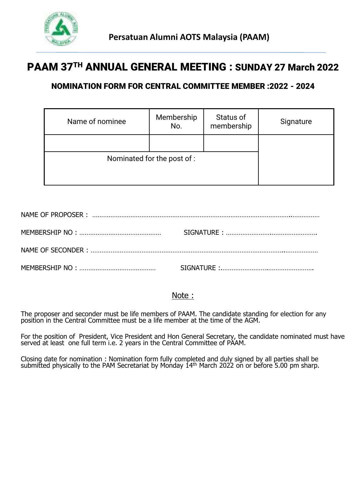

# PAAM 37TH ANNUAL GENERAL MEETING : SUNDAY 27 March 2022

## NOMINATION FORM FOR CENTRAL COMMITTEE MEMBER :2022 - 2024

| Name of nominee             | Membership<br>No. | Status of<br>membership | Signature |
|-----------------------------|-------------------|-------------------------|-----------|
|                             |                   |                         |           |
| Nominated for the post of : |                   |                         |           |

### Note :

The proposer and seconder must be life members of PAAM. The candidate standing for election for any position in the Central Committee must be a life member at the time of the AGM.

For the position of President, Vice President and Hon General Secretary, the candidate nominated must have served at least one full term i.e. 2 years in the Central Committee of PAAM.

Closing date for nomination : Nomination form fully completed and duly signed by all parties shall be submitted physically to the PAM Secretariat by Monday 14th March 2022 on or before 5.00 pm sharp.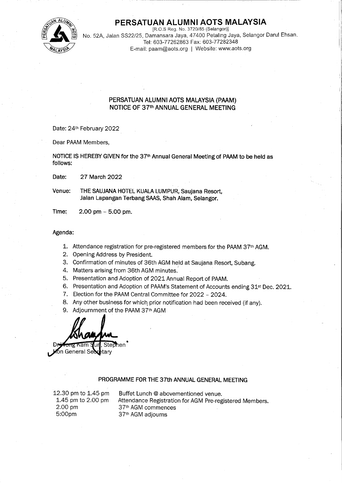

## PERSATUAN ALUMNI AOTS MALAYSIA

[R.O.S Reg. No. 3720/85 (Selangor)] No. 52A, Jalan SS22/25, Damansara Jaya, 47400 Petaling Jaya, Selangor Darul Ehsan. Tel: 603-77262863 Fax: 603-77282348 E-mail: paam@aots.org | Website: www.aots.org

#### PERSATUAN ALUMNI AOTS MALAYSIA (PAAM) NOTICE OF 37th ANNUAL GENERAL MEETING

Date: 24th February 2022

Dear PAAM Members.

NOTICE IS HEREBY GIVEN for the 37<sup>th</sup> Annual General Meeting of PAAM to be held as follows:

Date: 27 March 2022

Venue: THE SAUJANA HOTEL KUALA LUMPUR, Saujana Resort, Jalan Lapangan Terbang SAAS, Shah Alam, Selangor,

Time: 2.00 pm  $-$  5.00 pm.

#### Agenda:

- 1. Attendance registration for pre-registered members for the PAAM 37th AGM.
- 2. Opening Address by President.
- 3. Confirmation of minutes of 36th AGM held at Saujana Resort, Subang.
- 4. Matters arising from 36th AGM minutes.
- 5. Presentation and Adoption of 2021 Annual Report of PAAM.
- 6. Presentation and Adoption of PAAM's Statement of Accounts ending 31<sup>st</sup> Dec. 2021.
- 7. Election for the PAAM Central Committee for 2022 2024.
- 8. Any other business for which prior notification had been received (if any).
- 9. Adjournment of the PAAM 37th AGM

Stephen on General Se tarv

#### PROGRAMME FOR THE 37th ANNUAL GENERAL MEETING

12.30 pm to 1.45 pm 1.45 pm to 2.00 pm 2.00 pm 5:00pm

Buffet Lunch @ abovementioned venue. Attendance Registration for AGM Pre-registered Members. 37<sup>th</sup> AGM commences 37<sup>th</sup> AGM adjourns